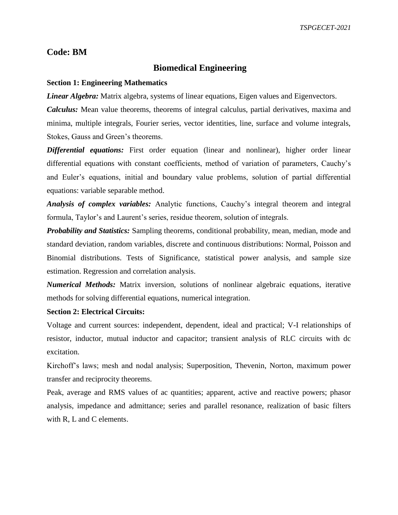# **Code: BM**

## **Biomedical Engineering**

#### **Section 1: Engineering Mathematics**

*Linear Algebra:* Matrix algebra, systems of linear equations, Eigen values and Eigenvectors.

*Calculus:* Mean value theorems, theorems of integral calculus, partial derivatives, maxima and minima, multiple integrals, Fourier series, vector identities, line, surface and volume integrals, Stokes, Gauss and Green's theorems.

*Differential equations:* First order equation (linear and nonlinear), higher order linear differential equations with constant coefficients, method of variation of parameters, Cauchy's and Euler's equations, initial and boundary value problems, solution of partial differential equations: variable separable method.

*Analysis of complex variables:* Analytic functions, Cauchy's integral theorem and integral formula, Taylor's and Laurent's series, residue theorem, solution of integrals.

*Probability and Statistics:* Sampling theorems, conditional probability, mean, median, mode and standard deviation, random variables, discrete and continuous distributions: Normal, Poisson and Binomial distributions. Tests of Significance, statistical power analysis, and sample size estimation. Regression and correlation analysis.

*Numerical Methods:* Matrix inversion, solutions of nonlinear algebraic equations, iterative methods for solving differential equations, numerical integration.

## **Section 2: Electrical Circuits:**

Voltage and current sources: independent, dependent, ideal and practical; V-I relationships of resistor, inductor, mutual inductor and capacitor; transient analysis of RLC circuits with dc excitation.

Kirchoff's laws; mesh and nodal analysis; Superposition, Thevenin, Norton, maximum power transfer and reciprocity theorems.

Peak, average and RMS values of ac quantities; apparent, active and reactive powers; phasor analysis, impedance and admittance; series and parallel resonance, realization of basic filters with R, L and C elements.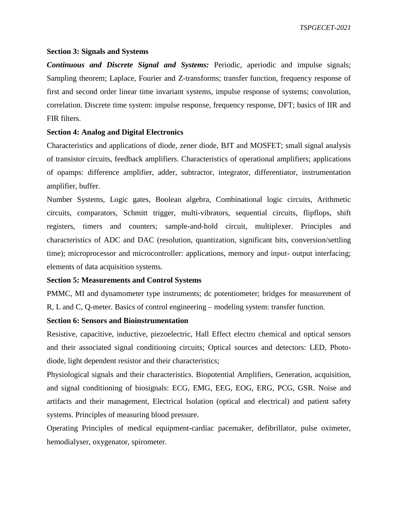*TSPGECET-2021*

#### **Section 3: Signals and Systems**

*Continuous and Discrete Signal and Systems:* Periodic, aperiodic and impulse signals; Sampling theorem; Laplace, Fourier and Z-transforms; transfer function, frequency response of first and second order linear time invariant systems, impulse response of systems; convolution, correlation. Discrete time system: impulse response, frequency response, DFT; basics of IIR and FIR filters.

## **Section 4: Analog and Digital Electronics**

Characteristics and applications of diode, zener diode, BJT and MOSFET; small signal analysis of transistor circuits, feedback amplifiers. Characteristics of operational amplifiers; applications of opamps: difference amplifier, adder, subtractor, integrator, differentiator, instrumentation amplifier, buffer.

Number Systems, Logic gates, Boolean algebra, Combinational logic circuits, Arithmetic circuits, comparators, Schmitt trigger, multi-vibrators, sequential circuits, flipflops, shift registers, timers and counters; sample-and-hold circuit, multiplexer. Principles and characteristics of ADC and DAC (resolution, quantization, significant bits, conversion/settling time); microprocessor and microcontroller: applications, memory and input- output interfacing; elements of data acquisition systems.

#### **Section 5: Measurements and Control Systems**

PMMC, MI and dynamometer type instruments; dc potentiometer; bridges for measurement of R, L and C, Q-meter. Basics of control engineering – modeling system: transfer function.

## **Section 6: Sensors and Bioinstrumentation**

Resistive, capacitive, inductive, piezoelectric, Hall Effect electro chemical and optical sensors and their associated signal conditioning circuits; Optical sources and detectors: LED, Photodiode, light dependent resistor and their characteristics;

Physiological signals and their characteristics. Biopotential Amplifiers, Generation, acquisition, and signal conditioning of biosignals: ECG, EMG, EEG, EOG, ERG, PCG, GSR. Noise and artifacts and their management, Electrical Isolation (optical and electrical) and patient safety systems. Principles of measuring blood pressure.

Operating Principles of medical equipment-cardiac pacemaker, defibrillator, pulse oximeter, hemodialyser, oxygenator, spirometer.